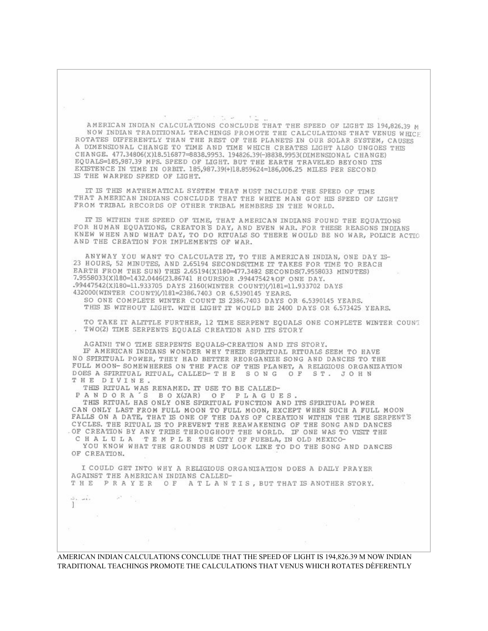$\frac{1}{\sqrt{2}}\left(\begin{array}{cc} 0 & 0 \\ 0 & 0 \end{array}\right)$  and  $-14.7$ 相当 (1)

AMERICAN INDIAN CALCULATIONS CONCLUDE THAT THE SPEED OF LIGHT IS 194,826.39 M NOW INDIAN TRADITIONAL TEACHINGS PROMOTE THE CALCULATIONS THAT VENUS WHICF ROTATES DIFFERENTLY THAN THE REST OF THE PLANETS IN OUR SOLAR SYSTEM, CAUSES A DIMENSIONAL CHANGE TO TIME AND TIME WHICH CREATES LIGHT ALSO UNGOES THIS CHANGE, 477,34806(X)18,516877=8838,9953, 194826.39(-)8838,9953(DIMENSIONAL CHANGE) EQUALS=185,987.39 MPS. SPEED OF LIGHT. BUT THE EARTH TRAVELED BEYOND ITS EXISTENCE IN TIME IN ORBIT. 185,987.39(+)18.859624=186,006.25 MILES PER SECOND IS THE WARPED SPEED OF LIGHT.

IT IS THIS MATHEMATICAL SYSTEM THAT MUST INCLUDE THE SPEED OF TIME THAT AMERICAN INDIANS CONCLUDE THAT THE WHITE MAN GOT HIS SPEED OF LIGHT FROM TRIBAL RECORDS OF OTHER TRIBAL MEMBERS IN THE WORLD.

IT IS WITHIN THE SPEED OF TIME, THAT AMERICAN INDIANS FOUND THE EQUATIONS FOR HUMAN EQUATIONS, CREATOR'S DAY, AND EVEN WAR. FOR THESE REASONS INDIANS KNEW WHEN AND WHAT DAY, TO DO RITUALS SO THERE WOULD BE NO WAR, POLICE ACTIO AND THE CREATION FOR IMPLEMENTS OF WAR.

ANYWAY YOU WANT TO CALCULATE IT, TO THE AMERICAN INDIAN, ONE DAY IS-23 HOURS, 52 MINUTES, AND 2.65194 SECONDS(TIME IT TAKES FOR TIME TO REACH EARTH FROM THE SUN) THIS 2.65194(X)180=477.3482 SECONDS(7.9558033 MINUTES) 7.9558033(X)180=1432.0446(23.86741 HOURS)OR .99447542%OF ONE DAY. .99447542(X)180=11.933705 DAYS 2160(WINTER COUNT)(/)181=11.933702 DAYS 432000(WINTER COUNT)(/)181=2386.7403 OR 6.5390145 YEARS.

SO ONE COMPLETE WINTER COUNT IS 2386.7403 DAYS OR 6.5390145 YEARS. THIS IS WITHOUT LIGHT. WITH LIGHT IT WOULD BE 2400 DAYS OR 6.573425 YEARS.

TO TAKE IT ALTTLE FURTHER, 12 TIME SERPENT EQUALS ONE COMPLETE WINTER COUNT . TWO(2) TIME SERPENTS EQUALS CREATION AND ITS STORY

AGAIN !! TWO TIME SERPENTS EQUALS-CREATION AND ITS STORY. IF AMERICAN INDIANS WONDER WHY THEIR SPIRITUAL RITUALS SEEM TO HAVE NO SPIRITUAL POWER, THEY HAD BETTER REORGANIZE SONG AND DANCES TO THE FULL MOON-SOMEWHERES ON THE FACE OF THIS PLANET, A RELIGIOUS ORGANIZATION DOES A SPIRITUAL RITUAL, CALLED-THE SONG OF ST. JOHN THE DIVINE.

THIS RITUAL WAS RENAMED. IT USE TO BE CALLED-

 $\mathbb{R}^n=\mathbb{C}_+$ 

 $\label{eq:2.1} \begin{array}{ll} \frac{1}{2\sqrt{3}}\frac{1}{\sqrt{3}}\frac{1}{\sqrt{3}}\frac{1}{\sqrt{3}}\frac{1}{\sqrt{3}}\frac{1}{\sqrt{3}}\frac{1}{\sqrt{3}}\frac{1}{\sqrt{3}}\frac{1}{\sqrt{3}}\frac{1}{\sqrt{3}}\frac{1}{\sqrt{3}}\frac{1}{\sqrt{3}}\frac{1}{\sqrt{3}}\frac{1}{\sqrt{3}}\frac{1}{\sqrt{3}}\frac{1}{\sqrt{3}}\frac{1}{\sqrt{3}}\frac{1}{\sqrt{3}}\frac{1}{\sqrt{3}}\frac{1}{\sqrt{3}}\frac{$ 

PANDORA'S BOX(JAR) OF PLAGUES.

THIS RITUAL HAS ONLY ONE SPIRITUAL FUNCTION AND ITS SPIRITUAL POWER CAN ONLY LAST FROM FULL MOON TO FULL MOON, EXCEPT WHEN SUCH A FULL MOON FALLS ON A DATE, THAT IS ONE OF THE DAYS OF CREATION WITHIN THE TIME SERPENT'S CYCLES. THE RITUAL IS TO PREVENT THE REAWAKENING OF THE SONG AND DANCES OF CREATION BY ANY TRIBE THROUGHOUT THE WORLD. IF ONE WAS TO VISIT THE CHALULA TEMPLE THE CITY OF PUEBLA, IN OLD MEXICO-

YOU KNOW WHAT THE GROUNDS MUST LOOK LIKE TO DO THE SONG AND DANCES OF CREATION.

I COULD GET INTO WHY A RELIGIOUS ORGANIZATION DOES A DAILY PRAYER AGAINST THE AMERICAN INDIANS CALLED-THE PRAYER OF ATLANTIS, BUT THAT IS ANOTHER STORY.

AMERICAN INDIAN CALCULATIONS CONCLUDE THAT THE SPEED OF LIGHT IS 194,826.39 M NOW INDIAN TRADITIONAL TEACHINGS PROMOTE THE CALCULATIONS THAT VENUS WHICH ROTATES DÈFERENTLY